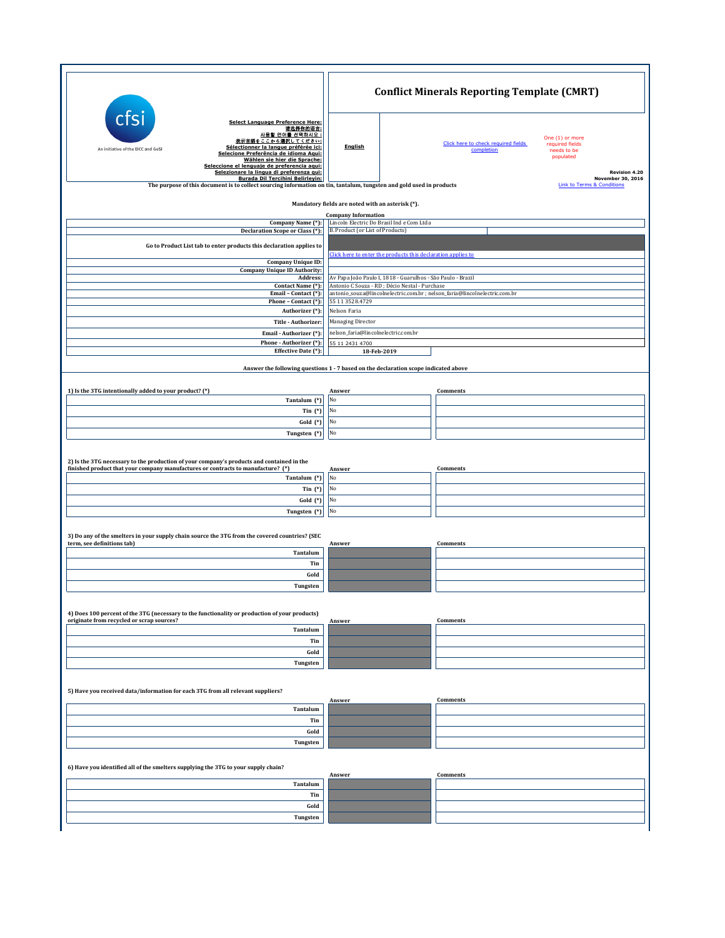|                                                                                                                                                                                                                                                            | <b>Conflict Minerals Reporting Template (CMRT)</b>                                                                                                                                          |                                                                                                                     |  |
|------------------------------------------------------------------------------------------------------------------------------------------------------------------------------------------------------------------------------------------------------------|---------------------------------------------------------------------------------------------------------------------------------------------------------------------------------------------|---------------------------------------------------------------------------------------------------------------------|--|
| cts<br><b>Select Language Preference Here:</b><br>请选择你的语言:<br>사용할 언어를 선택하시오 :<br>表示言語をここから選択してください:<br>Sélectionner la langue préférée ici:<br>An initiative of the EICC and GeSI<br>Selecione Preferência de idioma Aqui:<br>Wählen sie hier die Sprache: | English                                                                                                                                                                                     | One (1) or more<br>Click here to check required fields<br>required fields<br>completion<br>needs to be<br>populated |  |
| Seleccione el lenguaje de preferencia aqui:<br>Selezionare la lingua di preferenza qui:<br>Burada Dil Tercihini Belirleyin:<br>The purpose of this document is to collect sourcing information on tin, tantalum, tungsten and gold used in products        |                                                                                                                                                                                             | <b>Revision 4.20</b><br>November 30, 2016<br><b>Link to Terms &amp; Conditions</b>                                  |  |
| Mandatory fields are noted with an asterisk (*).                                                                                                                                                                                                           |                                                                                                                                                                                             |                                                                                                                     |  |
| Company Name (*):<br>Declaration Scope or Class (*):                                                                                                                                                                                                       | <b>Company Information</b><br>Lincoln Electric Do Brasil Ind e Com Ltda<br>B. Product (or List of Products)                                                                                 |                                                                                                                     |  |
| Go to Product List tab to enter products this declaration applies to                                                                                                                                                                                       |                                                                                                                                                                                             |                                                                                                                     |  |
| <b>Company Unique ID:</b><br><b>Company Unique ID Authority:</b>                                                                                                                                                                                           | Click here to enter the products this declaration applies to                                                                                                                                |                                                                                                                     |  |
| Address:<br>Contact Name (*):<br>Email - Contact (*):                                                                                                                                                                                                      | Av Papa João Paulo I, 1818 - Guarulhos - São Paulo - Brazil<br>Antonio C Souza - RD ; Décio Nestal - Purchase<br>antonio_souza@lincolnelectric.com.br ; nelson_faria@lincolnelectric.com.br |                                                                                                                     |  |
| Phone - Contact (*):<br>Authorizer (*):                                                                                                                                                                                                                    | 55 11 35 28.4729<br>Nelson Faria                                                                                                                                                            |                                                                                                                     |  |
| Title - Authorizer:                                                                                                                                                                                                                                        | Managing Director                                                                                                                                                                           |                                                                                                                     |  |
| Email - Authorizer (*):<br>Phone - Authorizer (*):                                                                                                                                                                                                         | 55 11 2431 4700                                                                                                                                                                             | nelson_faria@lincolnelectric.com.br                                                                                 |  |
| Effective Date (*):                                                                                                                                                                                                                                        | 18-Feb-2019                                                                                                                                                                                 |                                                                                                                     |  |
| Answer the following questions 1 - 7 based on the declaration scope indicated above                                                                                                                                                                        |                                                                                                                                                                                             |                                                                                                                     |  |
| 1) Is the 3TG intentionally added to your product? (*)                                                                                                                                                                                                     | Answer                                                                                                                                                                                      | Comments                                                                                                            |  |
| Tantalum (*)<br>Tin $(*)$                                                                                                                                                                                                                                  | No<br>No                                                                                                                                                                                    |                                                                                                                     |  |
| Gold (*)                                                                                                                                                                                                                                                   | No                                                                                                                                                                                          |                                                                                                                     |  |
| Tungsten (*)                                                                                                                                                                                                                                               | No                                                                                                                                                                                          |                                                                                                                     |  |
|                                                                                                                                                                                                                                                            |                                                                                                                                                                                             |                                                                                                                     |  |
| 2) Is the 3TG necessary to the production of your company's products and contained in the<br>finished product that your company manufactures or contracts to manufacture? (*)                                                                              | Answer                                                                                                                                                                                      | Comments                                                                                                            |  |
| Tantalum (*)<br>Tin $(*)$                                                                                                                                                                                                                                  | No<br>No                                                                                                                                                                                    |                                                                                                                     |  |
| Gold (*)                                                                                                                                                                                                                                                   | No                                                                                                                                                                                          |                                                                                                                     |  |
| Tungsten (*)                                                                                                                                                                                                                                               | No                                                                                                                                                                                          |                                                                                                                     |  |
| 3) Do any of the smelters in your supply chain source the 3TG from the covered countries? (SEC                                                                                                                                                             |                                                                                                                                                                                             |                                                                                                                     |  |
| term, see definitions tab)<br>Tantalum                                                                                                                                                                                                                     | Answer                                                                                                                                                                                      | Comments                                                                                                            |  |
| Tin<br>Gold                                                                                                                                                                                                                                                |                                                                                                                                                                                             |                                                                                                                     |  |
| Tungsten                                                                                                                                                                                                                                                   |                                                                                                                                                                                             |                                                                                                                     |  |
|                                                                                                                                                                                                                                                            |                                                                                                                                                                                             |                                                                                                                     |  |
| 4) Does 100 percent of the 3TG (necessary to the functionality or production of your products)<br>originate from recycled or scrap sources?                                                                                                                | Answer                                                                                                                                                                                      | Comments                                                                                                            |  |
| Tantalum                                                                                                                                                                                                                                                   |                                                                                                                                                                                             |                                                                                                                     |  |
| Tin<br>Gold                                                                                                                                                                                                                                                |                                                                                                                                                                                             |                                                                                                                     |  |
| Tungsten                                                                                                                                                                                                                                                   |                                                                                                                                                                                             |                                                                                                                     |  |
| 5) Have you received data/information for each 3TG from all relevant suppliers?                                                                                                                                                                            |                                                                                                                                                                                             |                                                                                                                     |  |
| Tantalum                                                                                                                                                                                                                                                   | Answer                                                                                                                                                                                      | Comments                                                                                                            |  |
| Tin                                                                                                                                                                                                                                                        |                                                                                                                                                                                             |                                                                                                                     |  |
| Gold                                                                                                                                                                                                                                                       |                                                                                                                                                                                             |                                                                                                                     |  |
| Tungsten                                                                                                                                                                                                                                                   |                                                                                                                                                                                             |                                                                                                                     |  |
| 6) Have you identified all of the smelters supplying the 3TG to your supply chain?                                                                                                                                                                         |                                                                                                                                                                                             |                                                                                                                     |  |
| Tantalum                                                                                                                                                                                                                                                   | Answer                                                                                                                                                                                      | Comments                                                                                                            |  |
| Tin                                                                                                                                                                                                                                                        |                                                                                                                                                                                             |                                                                                                                     |  |
| Gold                                                                                                                                                                                                                                                       |                                                                                                                                                                                             |                                                                                                                     |  |
| Tungsten                                                                                                                                                                                                                                                   |                                                                                                                                                                                             |                                                                                                                     |  |